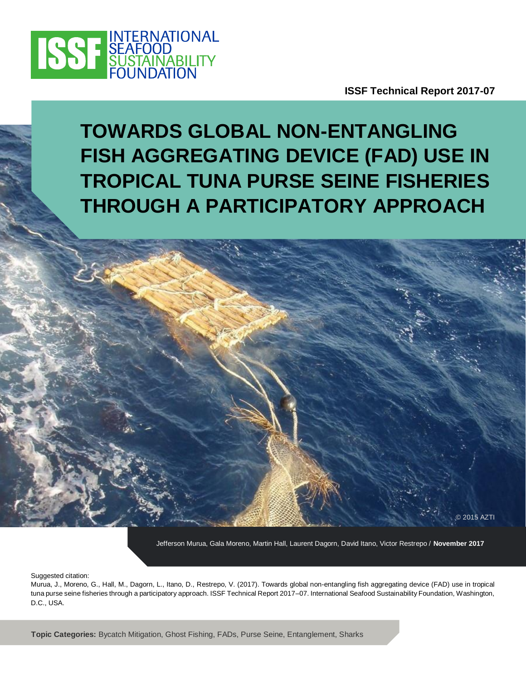

**ISSF Technical Report 2017-07**

© 2015 AZTI

# **TOWARDS GLOBAL NON-ENTANGLING FISH AGGREGATING DEVICE (FAD) USE IN TROPICAL TUNA PURSE SEINE FISHERIES THROUGH A PARTICIPATORY APPROACH**

Jefferson Murua, Gala Moreno, Martin Hall, Laurent Dagorn, David Itano, Victor Restrepo / **November 2017**

Suggested citation:

Murua, J., Moreno, G., Hall, M., Dagorn, L., Itano, D., Restrepo, V. (2017). Towards global non-entangling fish aggregating device (FAD) use in tropical tuna purse seine fisheries through a participatory approach. ISSF Technical Report 2017–07. International Seafood Sustainability Foundation, Washington, D.C., USA.

**Topic Categories:** Bycatch Mitigation, Ghost Fishing, FADs, Purse Seine, Entanglement, Sharks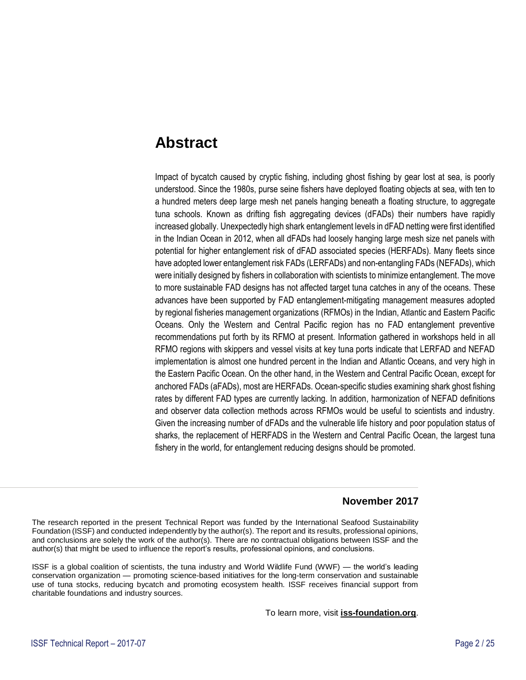### **Abstract**

Impact of bycatch caused by cryptic fishing, including ghost fishing by gear lost at sea, is poorly understood. Since the 1980s, purse seine fishers have deployed floating objects at sea, with ten to a hundred meters deep large mesh net panels hanging beneath a floating structure, to aggregate tuna schools. Known as drifting fish aggregating devices (dFADs) their numbers have rapidly increased globally. Unexpectedly high shark entanglement levels in dFAD netting were first identified in the Indian Ocean in 2012, when all dFADs had loosely hanging large mesh size net panels with potential for higher entanglement risk of dFAD associated species (HERFADs). Many fleets since have adopted lower entanglement risk FADs (LERFADs) and non-entangling FADs (NEFADs), which were initially designed by fishers in collaboration with scientists to minimize entanglement. The move to more sustainable FAD designs has not affected target tuna catches in any of the oceans. These advances have been supported by FAD entanglement-mitigating management measures adopted by regional fisheries management organizations (RFMOs) in the Indian, Atlantic and Eastern Pacific Oceans. Only the Western and Central Pacific region has no FAD entanglement preventive recommendations put forth by its RFMO at present. Information gathered in workshops held in all RFMO regions with skippers and vessel visits at key tuna ports indicate that LERFAD and NEFAD implementation is almost one hundred percent in the Indian and Atlantic Oceans, and very high in the Eastern Pacific Ocean. On the other hand, in the Western and Central Pacific Ocean, except for anchored FADs (aFADs), most are HERFADs. Ocean-specific studies examining shark ghost fishing rates by different FAD types are currently lacking. In addition, harmonization of NEFAD definitions and observer data collection methods across RFMOs would be useful to scientists and industry. Given the increasing number of dFADs and the vulnerable life history and poor population status of sharks, the replacement of HERFADS in the Western and Central Pacific Ocean, the largest tuna fishery in the world, for entanglement reducing designs should be promoted.

#### **November 2017**

The research reported in the present Technical Report was funded by the International Seafood Sustainability Foundation (ISSF) and conducted independently by the author(s). The report and its results, professional opinions, and conclusions are solely the work of the author(s). There are no contractual obligations between ISSF and the author(s) that might be used to influence the report's results, professional opinions, and conclusions.

ISSF is a global coalition of scientists, the tuna industry and World Wildlife Fund (WWF) — the world's leading conservation organization — promoting science-based initiatives for the long-term conservation and sustainable use of tuna stocks, reducing bycatch and promoting ecosystem health. ISSF receives financial support from charitable foundations and industry sources.

To learn more, visit **[iss-foundation.org](http://iss-foundation.org/)**.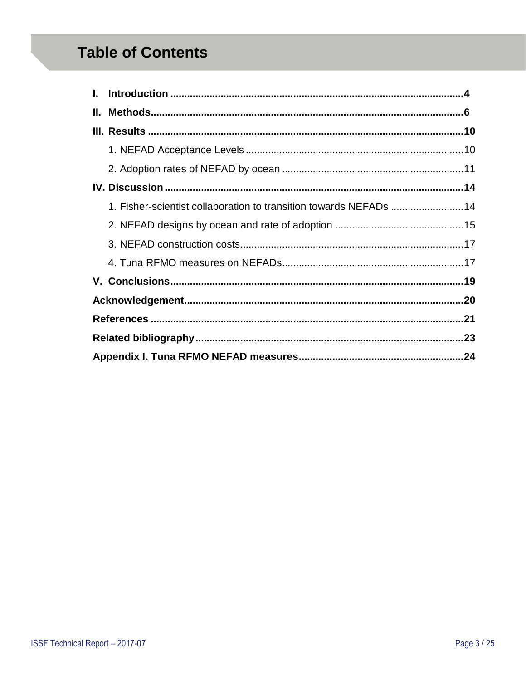## **Table of Contents**

| 1. Fisher-scientist collaboration to transition towards NEFADs 14 |  |  |  |  |
|-------------------------------------------------------------------|--|--|--|--|
|                                                                   |  |  |  |  |
|                                                                   |  |  |  |  |
|                                                                   |  |  |  |  |
|                                                                   |  |  |  |  |
|                                                                   |  |  |  |  |
|                                                                   |  |  |  |  |
|                                                                   |  |  |  |  |
|                                                                   |  |  |  |  |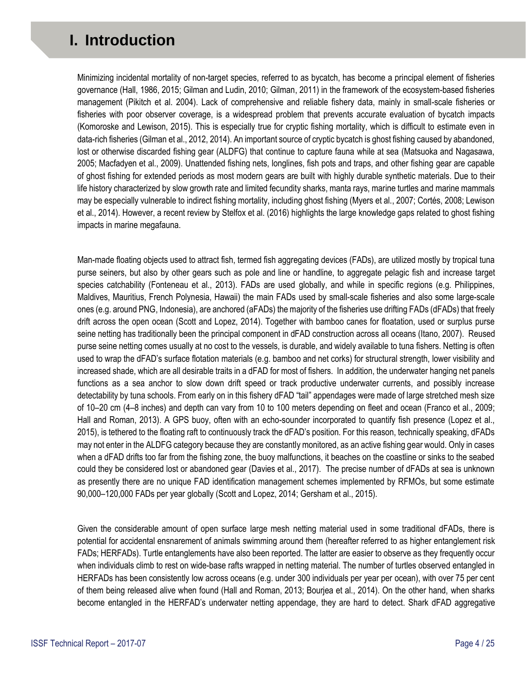## <span id="page-3-0"></span>**I. Introduction**

Minimizing incidental mortality of non-target species, referred to as bycatch, has become a principal element of fisheries governance (Hall, 1986, 2015; Gilman and Ludin, 2010; Gilman, 2011) in the framework of the ecosystem-based fisheries management (Pikitch et al. 2004). Lack of comprehensive and reliable fishery data, mainly in small-scale fisheries or fisheries with poor observer coverage, is a widespread problem that prevents accurate evaluation of bycatch impacts (Komoroske and Lewison, 2015). This is especially true for cryptic fishing mortality, which is difficult to estimate even in data-rich fisheries (Gilman et al., 2012, 2014). An important source of cryptic bycatch is ghost fishing caused by abandoned, lost or otherwise discarded fishing gear (ALDFG) that continue to capture fauna while at sea (Matsuoka and Nagasawa, 2005; Macfadyen et al., 2009). Unattended fishing nets, longlines, fish pots and traps, and other fishing gear are capable of ghost fishing for extended periods as most modern gears are built with highly durable synthetic materials. Due to their life history characterized by slow growth rate and limited fecundity sharks, manta rays, marine turtles and marine mammals may be especially vulnerable to indirect fishing mortality, including ghost fishing (Myers et al., 2007; Cortés, 2008; Lewison et al., 2014). However, a recent review by Stelfox et al. (2016) highlights the large knowledge gaps related to ghost fishing impacts in marine megafauna.

Man-made floating objects used to attract fish, termed fish aggregating devices (FADs), are utilized mostly by tropical tuna purse seiners, but also by other gears such as pole and line or handline, to aggregate pelagic fish and increase target species catchability (Fonteneau et al., 2013). FADs are used globally, and while in specific regions (e.g. Philippines, Maldives, Mauritius, French Polynesia, Hawaii) the main FADs used by small-scale fisheries and also some large-scale ones (e.g. around PNG, Indonesia), are anchored (aFADs) the majority of the fisheries use drifting FADs (dFADs) that freely drift across the open ocean (Scott and Lopez, 2014). Together with bamboo canes for floatation, used or surplus purse seine netting has traditionally been the principal component in dFAD construction across all oceans (Itano, 2007). Reused purse seine netting comes usually at no cost to the vessels, is durable, and widely available to tuna fishers. Netting is often used to wrap the dFAD's surface flotation materials (e.g. bamboo and net corks) for structural strength, lower visibility and increased shade, which are all desirable traits in a dFAD for most of fishers. In addition, the underwater hanging net panels functions as a sea anchor to slow down drift speed or track productive underwater currents, and possibly increase detectability by tuna schools. From early on in this fishery dFAD "tail" appendages were made of large stretched mesh size of 10–20 cm (4–8 inches) and depth can vary from 10 to 100 meters depending on fleet and ocean (Franco et al., 2009; Hall and Roman, 2013). A GPS buoy, often with an echo-sounder incorporated to quantify fish presence (Lopez et al., 2015), is tethered to the floating raft to continuously track the dFAD's position. For this reason, technically speaking, dFADs may not enter in the ALDFG category because they are constantly monitored, as an active fishing gear would. Only in cases when a dFAD drifts too far from the fishing zone, the buoy malfunctions, it beaches on the coastline or sinks to the seabed could they be considered lost or abandoned gear (Davies et al., 2017). The precise number of dFADs at sea is unknown as presently there are no unique FAD identification management schemes implemented by RFMOs, but some estimate 90,000–120,000 FADs per year globally (Scott and Lopez, 2014; Gersham et al., 2015).

Given the considerable amount of open surface large mesh netting material used in some traditional dFADs, there is potential for accidental ensnarement of animals swimming around them (hereafter referred to as higher entanglement risk FADs; HERFADs). Turtle entanglements have also been reported. The latter are easier to observe as they frequently occur when individuals climb to rest on wide-base rafts wrapped in netting material. The number of turtles observed entangled in HERFADs has been consistently low across oceans (e.g. under 300 individuals per year per ocean), with over 75 per cent of them being released alive when found (Hall and Roman, 2013; Bourjea et al., 2014). On the other hand, when sharks become entangled in the HERFAD's underwater netting appendage, they are hard to detect. Shark dFAD aggregative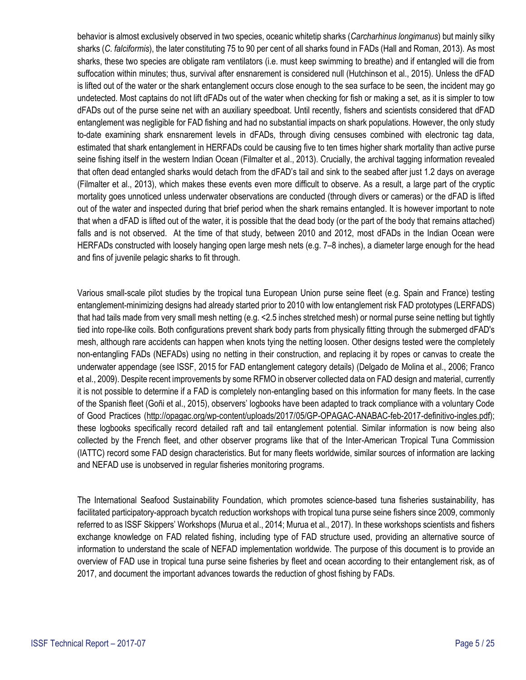behavior is almost exclusively observed in two species, oceanic whitetip sharks (*Carcharhinus longimanus*) but mainly silky sharks (*C. falciformis*), the later constituting 75 to 90 per cent of all sharks found in FADs (Hall and Roman, 2013). As most sharks, these two species are obligate ram ventilators (i.e. must keep swimming to breathe) and if entangled will die from suffocation within minutes; thus, survival after ensnarement is considered null (Hutchinson et al., 2015). Unless the dFAD is lifted out of the water or the shark entanglement occurs close enough to the sea surface to be seen, the incident may go undetected. Most captains do not lift dFADs out of the water when checking for fish or making a set, as it is simpler to tow dFADs out of the purse seine net with an auxiliary speedboat. Until recently, fishers and scientists considered that dFAD entanglement was negligible for FAD fishing and had no substantial impacts on shark populations. However, the only study to-date examining shark ensnarement levels in dFADs, through diving censuses combined with electronic tag data, estimated that shark entanglement in HERFADs could be causing five to ten times higher shark mortality than active purse seine fishing itself in the western Indian Ocean (Filmalter et al., 2013). Crucially, the archival tagging information revealed that often dead entangled sharks would detach from the dFAD's tail and sink to the seabed after just 1.2 days on average (Filmalter et al., 2013), which makes these events even more difficult to observe. As a result, a large part of the cryptic mortality goes unnoticed unless underwater observations are conducted (through divers or cameras) or the dFAD is lifted out of the water and inspected during that brief period when the shark remains entangled. It is however important to note that when a dFAD is lifted out of the water, it is possible that the dead body (or the part of the body that remains attached) falls and is not observed. At the time of that study, between 2010 and 2012, most dFADs in the Indian Ocean were HERFADs constructed with loosely hanging open large mesh nets (e.g. 7–8 inches), a diameter large enough for the head and fins of juvenile pelagic sharks to fit through.

Various small-scale pilot studies by the tropical tuna European Union purse seine fleet (e.g. Spain and France) testing entanglement-minimizing designs had already started prior to 2010 with low entanglement risk FAD prototypes (LERFADS) that had tails made from very small mesh netting (e.g. <2.5 inches stretched mesh) or normal purse seine netting but tightly tied into rope-like coils. Both configurations prevent shark body parts from physically fitting through the submerged dFAD's mesh, although rare accidents can happen when knots tying the netting loosen. Other designs tested were the completely non-entangling FADs (NEFADs) using no netting in their construction, and replacing it by ropes or canvas to create the underwater appendage (see ISSF, 2015 for FAD entanglement category details) (Delgado de Molina et al., 2006; Franco et al., 2009). Despite recent improvements by some RFMO in observer collected data on FAD design and material, currently it is not possible to determine if a FAD is completely non-entangling based on this information for many fleets. In the case of the Spanish fleet (Goñi et al., 2015), observers' logbooks have been adapted to track compliance with a voluntary Code of Good Practices [\(http://opagac.org/wp-content/uploads/2017/05/GP-OPAGAC-ANABAC-feb-2017-definitivo-ingles.pdf\)](http://opagac.org/wp-content/uploads/2017/05/GP-OPAGAC-ANABAC-feb-2017-definitivo-ingles.pdf); these logbooks specifically record detailed raft and tail entanglement potential. Similar information is now being also collected by the French fleet, and other observer programs like that of the Inter-American Tropical Tuna Commission (IATTC) record some FAD design characteristics. But for many fleets worldwide, similar sources of information are lacking and NEFAD use is unobserved in regular fisheries monitoring programs.

The International Seafood Sustainability Foundation, which promotes science-based tuna fisheries sustainability, has facilitated participatory-approach bycatch reduction workshops with tropical tuna purse seine fishers since 2009, commonly referred to as ISSF Skippers' Workshops (Murua et al., 2014; Murua et al., 2017). In these workshops scientists and fishers exchange knowledge on FAD related fishing, including type of FAD structure used, providing an alternative source of information to understand the scale of NEFAD implementation worldwide. The purpose of this document is to provide an overview of FAD use in tropical tuna purse seine fisheries by fleet and ocean according to their entanglement risk, as of 2017, and document the important advances towards the reduction of ghost fishing by FADs.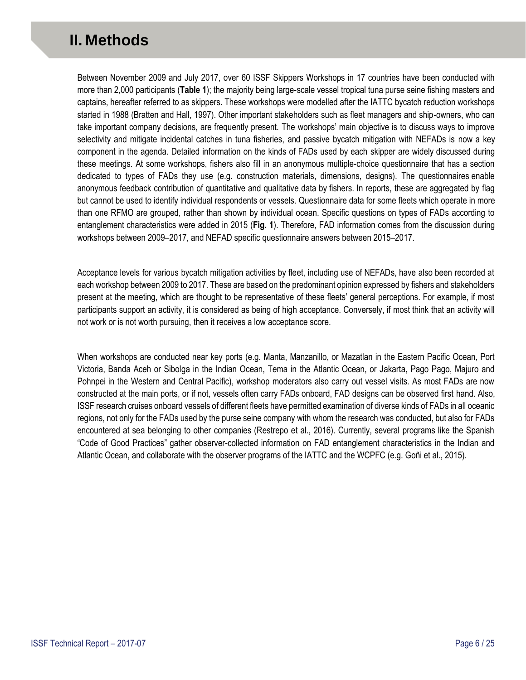## <span id="page-5-0"></span>**II. Methods**

Between November 2009 and July 2017, over 60 ISSF Skippers Workshops in 17 countries have been conducted with more than 2,000 participants (**Table 1**); the majority being large-scale vessel tropical tuna purse seine fishing masters and captains, hereafter referred to as skippers. These workshops were modelled after the IATTC bycatch reduction workshops started in 1988 (Bratten and Hall, 1997). Other important stakeholders such as fleet managers and ship-owners, who can take important company decisions, are frequently present. The workshops' main objective is to discuss ways to improve selectivity and mitigate incidental catches in tuna fisheries, and passive bycatch mitigation with NEFADs is now a key component in the agenda. Detailed information on the kinds of FADs used by each skipper are widely discussed during these meetings. At some workshops, fishers also fill in an anonymous multiple-choice questionnaire that has a section dedicated to types of FADs they use (e.g. construction materials, dimensions, designs). The questionnaires enable anonymous feedback contribution of quantitative and qualitative data by fishers. In reports, these are aggregated by flag but cannot be used to identify individual respondents or vessels. Questionnaire data for some fleets which operate in more than one RFMO are grouped, rather than shown by individual ocean. Specific questions on types of FADs according to entanglement characteristics were added in 2015 (**Fig. 1**). Therefore, FAD information comes from the discussion during workshops between 2009–2017, and NEFAD specific questionnaire answers between 2015–2017.

Acceptance levels for various bycatch mitigation activities by fleet, including use of NEFADs, have also been recorded at each workshop between 2009 to 2017. These are based on the predominant opinion expressed by fishers and stakeholders present at the meeting, which are thought to be representative of these fleets' general perceptions. For example, if most participants support an activity, it is considered as being of high acceptance. Conversely, if most think that an activity will not work or is not worth pursuing, then it receives a low acceptance score.

When workshops are conducted near key ports (e.g. Manta, Manzanillo, or Mazatlan in the Eastern Pacific Ocean, Port Victoria, Banda Aceh or Sibolga in the Indian Ocean, Tema in the Atlantic Ocean, or Jakarta, Pago Pago, Majuro and Pohnpei in the Western and Central Pacific), workshop moderators also carry out vessel visits. As most FADs are now constructed at the main ports, or if not, vessels often carry FADs onboard, FAD designs can be observed first hand. Also, ISSF research cruises onboard vessels of different fleets have permitted examination of diverse kinds of FADs in all oceanic regions, not only for the FADs used by the purse seine company with whom the research was conducted, but also for FADs encountered at sea belonging to other companies (Restrepo et al., 2016). Currently, several programs like the Spanish "Code of Good Practices" gather observer-collected information on FAD entanglement characteristics in the Indian and Atlantic Ocean, and collaborate with the observer programs of the IATTC and the WCPFC (e.g. Goñi et al., 2015).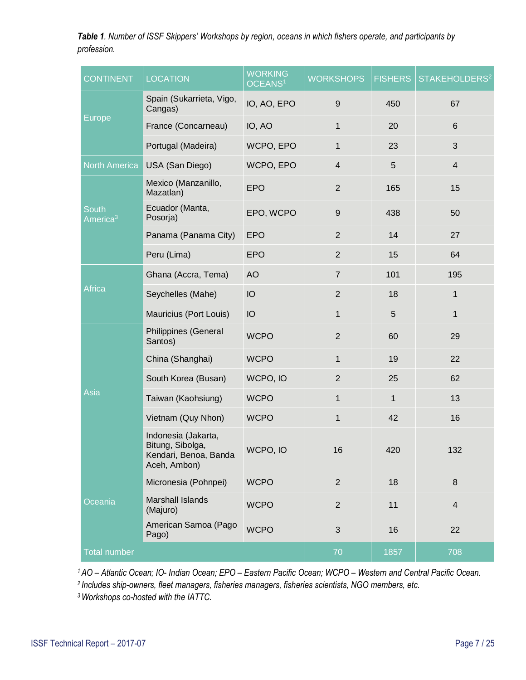*Table 1. Number of ISSF Skippers' Workshops by region, oceans in which fishers operate, and participants by profession.*

| <b>CONTINENT</b>                     | <b>LOCATION</b>                                                                  | <b>WORKING</b><br>OCEANS <sup>1</sup> | <b>WORKSHOPS</b> | <b>FISHERS</b> | STAKEHOLDERS <sup>2</sup> |
|--------------------------------------|----------------------------------------------------------------------------------|---------------------------------------|------------------|----------------|---------------------------|
|                                      | Spain (Sukarrieta, Vigo,<br>Cangas)                                              | IO, AO, EPO                           | 9                | 450            | 67                        |
| <b>Europe</b>                        | France (Concarneau)                                                              | IO, AO                                | 1                | 20             | $6\phantom{1}$            |
|                                      | Portugal (Madeira)                                                               | WCPO, EPO                             | $\mathbf 1$      | 23             | 3                         |
| <b>North America</b>                 | USA (San Diego)                                                                  | WCPO, EPO                             | $\overline{4}$   | 5              | $\overline{4}$            |
|                                      | Mexico (Manzanillo,<br>Mazatlan)                                                 | <b>EPO</b>                            | $\overline{2}$   | 165            | 15                        |
| <b>South</b><br>America <sup>3</sup> | Ecuador (Manta,<br>Posorja)                                                      | EPO, WCPO                             | $\boldsymbol{9}$ | 438            | 50                        |
|                                      | Panama (Panama City)                                                             | <b>EPO</b>                            | $\overline{2}$   | 14             | 27                        |
|                                      | Peru (Lima)                                                                      | <b>EPO</b>                            | $\overline{2}$   | 15             | 64                        |
|                                      | Ghana (Accra, Tema)                                                              | <b>AO</b>                             | $\overline{7}$   | 101            | 195                       |
| Africa                               | Seychelles (Mahe)                                                                | IO                                    | $\overline{2}$   | 18             | $\mathbf{1}$              |
|                                      | Mauricius (Port Louis)                                                           | IO                                    | $\mathbf 1$      | 5              | $\mathbf{1}$              |
|                                      | Philippines (General<br>Santos)                                                  | <b>WCPO</b>                           | $\overline{2}$   | 60             | 29                        |
|                                      | China (Shanghai)                                                                 | <b>WCPO</b>                           | 1                | 19             | 22                        |
|                                      | South Korea (Busan)                                                              | WCPO, IO                              | $\overline{2}$   | 25             | 62                        |
| Asia                                 | Taiwan (Kaohsiung)                                                               | <b>WCPO</b>                           | 1                | 1              | 13                        |
|                                      | Vietnam (Quy Nhon)                                                               | <b>WCPO</b>                           | $\mathbf 1$      | 42             | 16                        |
|                                      | Indonesia (Jakarta,<br>Bitung, Sibolga,<br>Kendari, Benoa, Banda<br>Aceh, Ambon) | WCPO, IO                              | 16               | 420            | 132                       |
|                                      | Micronesia (Pohnpei)                                                             | <b>WCPO</b>                           | $\overline{2}$   | 18             | $\boldsymbol{8}$          |
| Oceania                              | <b>Marshall Islands</b><br>(Majuro)                                              | <b>WCPO</b>                           | $\overline{2}$   | 11             | $\overline{4}$            |
|                                      | American Samoa (Pago<br>Pago)                                                    | <b>WCPO</b>                           | $\sqrt{3}$       | 16             | 22                        |
| <b>Total number</b>                  |                                                                                  | 70                                    | 1857             | 708            |                           |

*<sup>1</sup> AO – Atlantic Ocean; IO- Indian Ocean; EPO – Eastern Pacific Ocean; WCPO – Western and Central Pacific Ocean.* 

*2 Includes ship-owners, fleet managers, fisheries managers, fisheries scientists, NGO members, etc.*

*3 Workshops co-hosted with the IATTC.*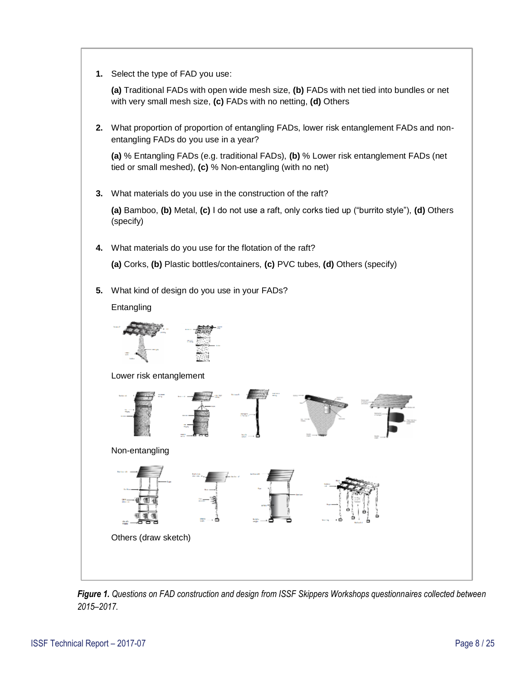**1.** Select the type of FAD you use:

**(a)** Traditional FADs with open wide mesh size, **(b)** FADs with net tied into bundles or net with very small mesh size, **(c)** FADs with no netting, **(d)** Others

**2.** What proportion of proportion of entangling FADs, lower risk entanglement FADs and nonentangling FADs do you use in a year?

**(a)** % Entangling FADs (e.g. traditional FADs), **(b)** % Lower risk entanglement FADs (net tied or small meshed), **(c)** % Non-entangling (with no net)

**3.** What materials do you use in the construction of the raft?

**(a)** Bamboo, **(b)** Metal, **(c)** I do not use a raft, only corks tied up ("burrito style"), **(d)** Others (specify)

**4.** What materials do you use for the flotation of the raft?

**(a)** Corks, **(b)** Plastic bottles/containers, **(c)** PVC tubes, **(d)** Others (specify)

**5.** What kind of design do you use in your FADs?

Entangling



Lower risk entanglement



*Figure 1. Questions on FAD construction and design from ISSF Skippers Workshops questionnaires collected between 2015–2017.*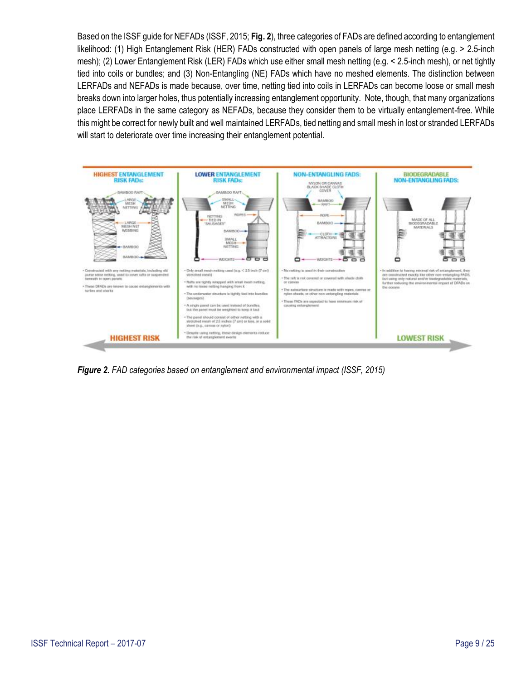Based on the ISSF guide for NEFADs (ISSF, 2015; **Fig. 2**), three categories of FADs are defined according to entanglement likelihood: (1) High Entanglement Risk (HER) FADs constructed with open panels of large mesh netting (e.g. > 2.5-inch mesh); (2) Lower Entanglement Risk (LER) FADs which use either small mesh netting (e.g. < 2.5-inch mesh), or net tightly tied into coils or bundles; and (3) Non-Entangling (NE) FADs which have no meshed elements. The distinction between LERFADs and NEFADs is made because, over time, netting tied into coils in LERFADs can become loose or small mesh breaks down into larger holes, thus potentially increasing entanglement opportunity. Note, though, that many organizations place LERFADs in the same category as NEFADs, because they consider them to be virtually entanglement-free. While this might be correct for newly built and well maintained LERFADs, tied netting and small mesh in lost or stranded LERFADs will start to deteriorate over time increasing their entanglement potential.



*Figure 2. FAD categories based on entanglement and environmental impact (ISSF, 2015)*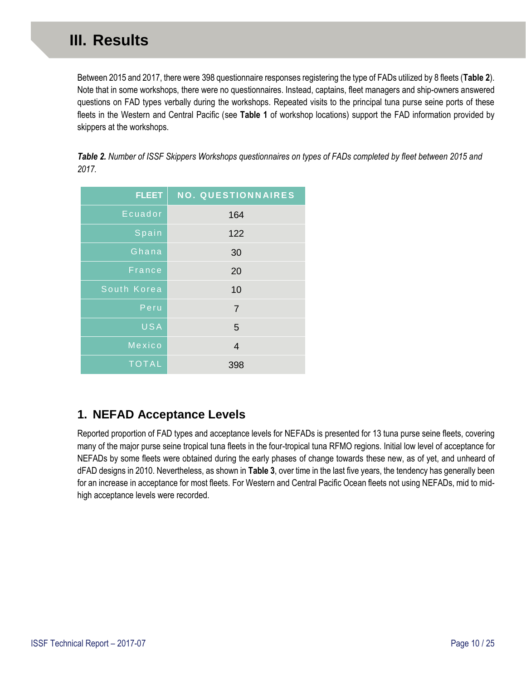<span id="page-9-0"></span>Between 2015 and 2017, there were 398 questionnaire responses registering the type of FADs utilized by 8 fleets (**Table 2**). Note that in some workshops, there were no questionnaires. Instead, captains, fleet managers and ship-owners answered questions on FAD types verbally during the workshops. Repeated visits to the principal tuna purse seine ports of these fleets in the Western and Central Pacific (see **[Table 1](#page-5-0)** of workshop locations) support the FAD information provided by skippers at the workshops.

*Table 2. Number of ISSF Skippers Workshops questionnaires on types of FADs completed by fleet between 2015 and 2017.*

| <b>FLEET</b>  | <b>NO. QUESTIONNAIRES</b> |
|---------------|---------------------------|
| Ecuador       | 164                       |
| Spain         | 122                       |
| Ghana         | 30                        |
| <b>France</b> | 20                        |
| South Korea   | 10                        |
| Peru          | $\overline{7}$            |
| USA           | 5                         |
| Mexico        | 4                         |
| <b>TOTAL</b>  | 398                       |

#### **1. NEFAD Acceptance Levels**

Reported proportion of FAD types and acceptance levels for NEFADs is presented for 13 tuna purse seine fleets, covering many of the major purse seine tropical tuna fleets in the four-tropical tuna RFMO regions. Initial low level of acceptance for NEFADs by some fleets were obtained during the early phases of change towards these new, as of yet, and unheard of dFAD designs in 2010. Nevertheless, as shown in **Table 3**, over time in the last five years, the tendency has generally been for an increase in acceptance for most fleets. For Western and Central Pacific Ocean fleets not using NEFADs, mid to midhigh acceptance levels were recorded.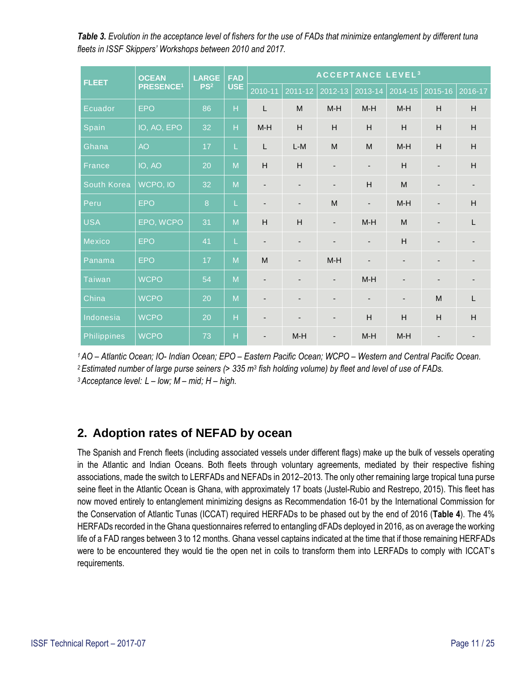<span id="page-10-0"></span>*Table 3. Evolution in the acceptance level of fishers for the use of FADs that minimize entanglement by different tuna fleets in ISSF Skippers' Workshops between 2010 and 2017.* 

| <b>FLEET</b>  | <b>OCEAN</b><br><b>PRESENCE<sup>1</sup></b> | <b>LARGE</b><br>PS <sup>2</sup> | <b>FAD</b><br><b>USE</b> | <b>ACCEPTANCE LEVEL<sup>3</sup></b> |                          |                          |                          |                          |                          |                          |
|---------------|---------------------------------------------|---------------------------------|--------------------------|-------------------------------------|--------------------------|--------------------------|--------------------------|--------------------------|--------------------------|--------------------------|
|               |                                             |                                 |                          | 2010-11                             | 2011-12                  | 2012-13                  | 2013-14                  | 2014-15                  | 2015-16                  | 2016-17                  |
| Ecuador       | <b>EPO</b>                                  | 86                              | $\overline{H}$           | $\mathsf{L}$                        | M                        | $M-H$                    | $M-H$                    | $M-H$                    | H                        | H                        |
| Spain         | IO, AO, EPO                                 | 32                              | $\overline{H}$           | $M-H$                               | H                        | H                        | H                        | H                        | H                        | H                        |
| Ghana         | <b>AO</b>                                   | 17                              | L                        | $\mathsf L$                         | $L-M$                    | M                        | M                        | $M-H$                    | H                        | H                        |
| France        | IO, AO                                      | 20                              | $\overline{M}$           | H                                   | H                        | $\overline{\phantom{a}}$ | $\overline{\phantom{a}}$ | H                        | $\overline{\phantom{m}}$ | H                        |
| South Korea   | WCPO, IO                                    | 32                              | $\overline{M}$           | $\overline{\phantom{a}}$            | $\overline{\phantom{a}}$ | $\overline{\phantom{a}}$ | H                        | M                        | $\overline{\phantom{a}}$ | $\overline{\phantom{a}}$ |
| Peru          | <b>EPO</b>                                  | $\boldsymbol{8}$                | L                        | $\overline{a}$                      | $\overline{\phantom{m}}$ | M                        | $\overline{\phantom{a}}$ | $M-H$                    | $\overline{\phantom{m}}$ | H                        |
| <b>USA</b>    | EPO, WCPO                                   | 31                              | $\overline{M}$           | H                                   | H                        | $\overline{\phantom{a}}$ | $M-H$                    | M                        | $\overline{\phantom{a}}$ | L                        |
| Mexico        | <b>EPO</b>                                  | 41                              | L                        | $\overline{\phantom{a}}$            | $\overline{\phantom{0}}$ | $\overline{\phantom{a}}$ | $\overline{\phantom{a}}$ | H                        | $\overline{\phantom{a}}$ | ٠                        |
| Panama        | <b>EPO</b>                                  | 17                              | $\overline{M}$           | M                                   | $\overline{\phantom{0}}$ | $M-H$                    | $\blacksquare$           | $\overline{\phantom{a}}$ | $\overline{\phantom{a}}$ |                          |
| <b>Taiwan</b> | <b>WCPO</b>                                 | 54                              | $\overline{M}$           | $\overline{\phantom{m}}$            | -                        | $\overline{\phantom{m}}$ | $M-H$                    | $\overline{\phantom{0}}$ | $\overline{\phantom{a}}$ |                          |
| China         | <b>WCPO</b>                                 | 20                              | M                        | $\overline{\phantom{a}}$            | $\overline{\phantom{a}}$ | $\overline{\phantom{a}}$ | $\overline{\phantom{a}}$ | $\overline{\phantom{a}}$ | M                        | L                        |
| Indonesia     | <b>WCPO</b>                                 | 20                              | $\overline{H}$           |                                     | -                        | $\overline{\phantom{a}}$ | H                        | H                        | $\overline{H}$           | H                        |
| Philippines   | <b>WCPO</b>                                 | 73                              | $\overline{H}$           | $\overline{\phantom{a}}$            | $M-H$                    | $\overline{\phantom{a}}$ | $M-H$                    | $M-H$                    | $\overline{\phantom{0}}$ |                          |

*<sup>1</sup> AO – Atlantic Ocean; IO- Indian Ocean; EPO – Eastern Pacific Ocean; WCPO – Western and Central Pacific Ocean.* 

*<sup>2</sup> Estimated number of large purse seiners (> 335 m<sup>3</sup> fish holding volume) by fleet and level of use of FADs.* 

*<sup>3</sup> Acceptance level: L – low; M – mid; H – high.*

#### **2. Adoption rates of NEFAD by ocean**

The Spanish and French fleets (including associated vessels under different flags) make up the bulk of vessels operating in the Atlantic and Indian Oceans. Both fleets through voluntary agreements, mediated by their respective fishing associations, made the switch to LERFADs and NEFADs in 2012–2013. The only other remaining large tropical tuna purse seine fleet in the Atlantic Ocean is Ghana, with approximately 17 boats (Justel-Rubio and Restrepo, 2015). This fleet has now moved entirely to entanglement minimizing designs as Recommendation 16-01 by the International Commission for the Conservation of Atlantic Tunas (ICCAT) required HERFADs to be phased out by the end of 2016 (**Table 4**). The 4% HERFADs recorded in the Ghana questionnaires referred to entangling dFADs deployed in 2016, as on average the working life of a FAD ranges between 3 to 12 months. Ghana vessel captains indicated at the time that if those remaining HERFADs were to be encountered they would tie the open net in coils to transform them into LERFADs to comply with ICCAT's requirements.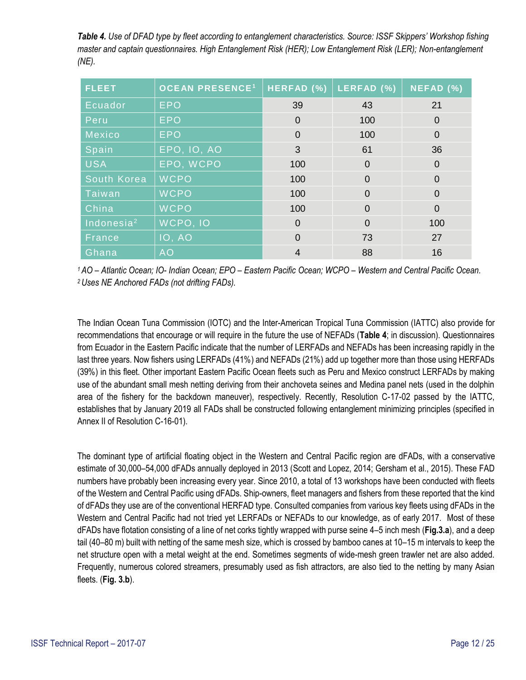*Table 4. Use of DFAD type by fleet according to entanglement characteristics. Source: ISSF Skippers' Workshop fishing master and captain questionnaires. High Entanglement Risk (HER); Low Entanglement Risk (LER); Non-entanglement (NE).*

| <b>FLEET</b>  | <b>OCEAN PRESENCE<sup>1</sup></b> | HERFAD (%)     | LERFAD (%) | NEFAD (%)      |
|---------------|-----------------------------------|----------------|------------|----------------|
| Ecuador       | <b>EPO</b>                        | 39             | 43         | 21             |
| Peru          | <b>EPO</b>                        | $\Omega$       | 100        | 0              |
| Mexico        | <b>EPO</b>                        | $\overline{0}$ | 100        | 0              |
| Spain         | <b>EPO, IO, AO</b>                | 3              | 61         | 36             |
| <b>USA</b>    | EPO, WCPO                         | 100            | $\Omega$   | $\overline{0}$ |
| South Korea   | <b>WCPO</b>                       | 100            | $\Omega$   | $\Omega$       |
| Taiwan        | <b>WCPO</b>                       | 100            | $\Omega$   | 0              |
| China         | <b>WCPO</b>                       | 100            | $\Omega$   | $\overline{0}$ |
| Indonesia $2$ | WCPO, IO                          | $\Omega$       | $\Omega$   | 100            |
| France        | <b>10, AO</b>                     | $\Omega$       | 73         | 27             |
| Ghana         | <b>AO</b>                         | 4              | 88         | 16             |

*<sup>1</sup> AO – Atlantic Ocean; IO- Indian Ocean; EPO – Eastern Pacific Ocean; WCPO – Western and Central Pacific Ocean. <sup>2</sup>Uses NE Anchored FADs (not drifting FADs).*

The Indian Ocean Tuna Commission (IOTC) and the Inter-American Tropical Tuna Commission (IATTC) also provide for recommendations that encourage or will require in the future the use of NEFADs (**Table 4**; in discussion). Questionnaires from Ecuador in the Eastern Pacific indicate that the number of LERFADs and NEFADs has been increasing rapidly in the last three years. Now fishers using LERFADs (41%) and NEFADs (21%) add up together more than those using HERFADs (39%) in this fleet. Other important Eastern Pacific Ocean fleets such as Peru and Mexico construct LERFADs by making use of the abundant small mesh netting deriving from their anchoveta seines and Medina panel nets (used in the dolphin area of the fishery for the backdown maneuver), respectively. Recently, Resolution C-17-02 passed by the IATTC, establishes that by January 2019 all FADs shall be constructed following entanglement minimizing principles (specified in Annex II of Resolution C-16-01).

The dominant type of artificial floating object in the Western and Central Pacific region are dFADs, with a conservative estimate of 30,000–54,000 dFADs annually deployed in 2013 (Scott and Lopez, 2014; Gersham et al., 2015). These FAD numbers have probably been increasing every year. Since 2010, a total of 13 workshops have been conducted with fleets of the Western and Central Pacific using dFADs. Ship-owners, fleet managers and fishers from these reported that the kind of dFADs they use are of the conventional HERFAD type. Consulted companies from various key fleets using dFADs in the Western and Central Pacific had not tried yet LERFADs or NEFADs to our knowledge, as of early 2017. Most of these dFADs have flotation consisting of a line of net corks tightly wrapped with purse seine 4–5 inch mesh (**Fig.3.a**), and a deep tail (40–80 m) built with netting of the same mesh size, which is crossed by bamboo canes at 10–15 m intervals to keep the net structure open with a metal weight at the end. Sometimes segments of wide-mesh green trawler net are also added. Frequently, numerous colored streamers, presumably used as fish attractors, are also tied to the netting by many Asian fleets. (**Fig. 3.b**).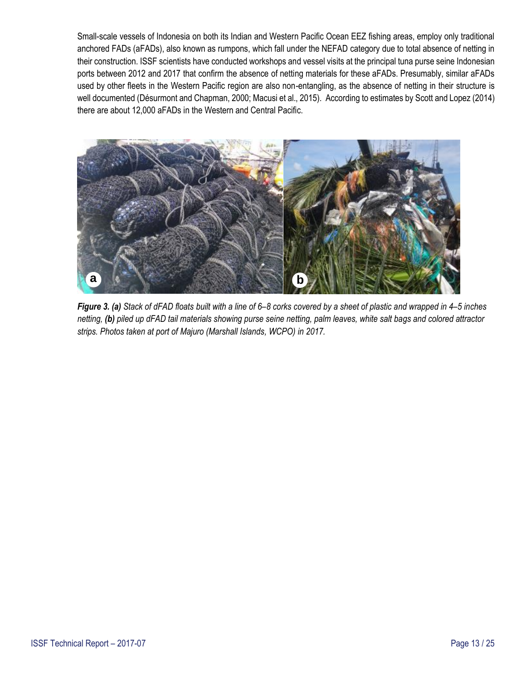<span id="page-12-0"></span>Small-scale vessels of Indonesia on both its Indian and Western Pacific Ocean EEZ fishing areas, employ only traditional anchored FADs (aFADs), also known as rumpons, which fall under the NEFAD category due to total absence of netting in their construction. ISSF scientists have conducted workshops and vessel visits at the principal tuna purse seine Indonesian ports between 2012 and 2017 that confirm the absence of netting materials for these aFADs. Presumably, similar aFADs used by other fleets in the Western Pacific region are also non-entangling, as the absence of netting in their structure is well documented (Désurmont and Chapman, 2000; Macusi et al., 2015). According to estimates by Scott and Lopez (2014) there are about 12,000 aFADs in the Western and Central Pacific.



*Figure 3. (a) Stack of dFAD floats built with a line of 6–8 corks covered by a sheet of plastic and wrapped in 4–5 inches netting, (b) piled up dFAD tail materials showing purse seine netting, palm leaves, white salt bags and colored attractor strips. Photos taken at port of Majuro (Marshall Islands, WCPO) in 2017.*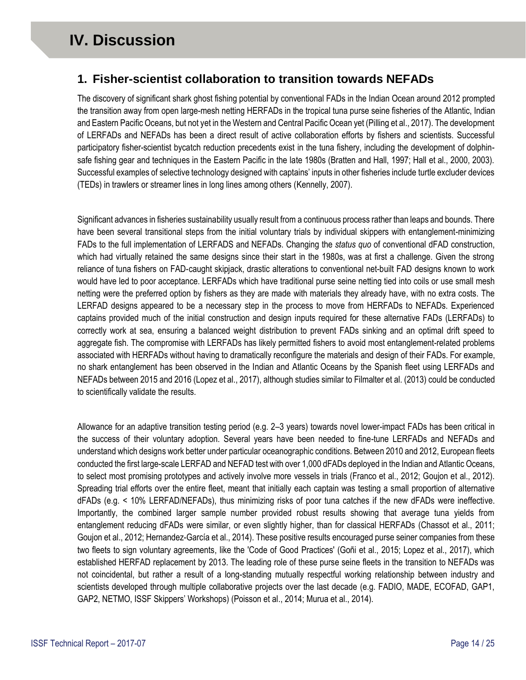#### <span id="page-13-0"></span>**1. Fisher-scientist collaboration to transition towards NEFADs**

The discovery of significant shark ghost fishing potential by conventional FADs in the Indian Ocean around 2012 prompted the transition away from open large-mesh netting HERFADs in the tropical tuna purse seine fisheries of the Atlantic, Indian and Eastern Pacific Oceans, but not yet in the Western and Central Pacific Ocean yet (Pilling et al., 2017). The development of LERFADs and NEFADs has been a direct result of active collaboration efforts by fishers and scientists. Successful participatory fisher-scientist bycatch reduction precedents exist in the tuna fishery, including the development of dolphinsafe fishing gear and techniques in the Eastern Pacific in the late 1980s (Bratten and Hall, 1997; Hall et al., 2000, 2003). Successful examples of selective technology designed with captains' inputs in other fisheries include turtle excluder devices (TEDs) in trawlers or streamer lines in long lines among others (Kennelly, 2007).

Significant advances in fisheries sustainability usually result from a continuous process rather than leaps and bounds. There have been several transitional steps from the initial voluntary trials by individual skippers with entanglement-minimizing FADs to the full implementation of LERFADS and NEFADs. Changing the *status quo* of conventional dFAD construction, which had virtually retained the same designs since their start in the 1980s, was at first a challenge. Given the strong reliance of tuna fishers on FAD-caught skipjack, drastic alterations to conventional net-built FAD designs known to work would have led to poor acceptance. LERFADs which have traditional purse seine netting tied into coils or use small mesh netting were the preferred option by fishers as they are made with materials they already have, with no extra costs. The LERFAD designs appeared to be a necessary step in the process to move from HERFADs to NEFADs. Experienced captains provided much of the initial construction and design inputs required for these alternative FADs (LERFADs) to correctly work at sea, ensuring a balanced weight distribution to prevent FADs sinking and an optimal drift speed to aggregate fish. The compromise with LERFADs has likely permitted fishers to avoid most entanglement-related problems associated with HERFADs without having to dramatically reconfigure the materials and design of their FADs. For example, no shark entanglement has been observed in the Indian and Atlantic Oceans by the Spanish fleet using LERFADs and NEFADs between 2015 and 2016 (Lopez et al., 2017), although studies similar to Filmalter et al. (2013) could be conducted to scientifically validate the results.

Allowance for an adaptive transition testing period (e.g. 2–3 years) towards novel lower-impact FADs has been critical in the success of their voluntary adoption. Several years have been needed to fine-tune LERFADs and NEFADs and understand which designs work better under particular oceanographic conditions. Between 2010 and 2012, European fleets conducted the first large-scale LERFAD and NEFAD test with over 1,000 dFADs deployed in the Indian and Atlantic Oceans, to select most promising prototypes and actively involve more vessels in trials (Franco et al., 2012; Goujon et al., 2012). Spreading trial efforts over the entire fleet, meant that initially each captain was testing a small proportion of alternative dFADs (e.g. < 10% LERFAD/NEFADs), thus minimizing risks of poor tuna catches if the new dFADs were ineffective. Importantly, the combined larger sample number provided robust results showing that average tuna yields from entanglement reducing dFADs were similar, or even slightly higher, than for classical HERFADs (Chassot et al., 2011; Goujon et al., 2012; Hernandez-García et al., 2014). These positive results encouraged purse seiner companies from these two fleets to sign voluntary agreements, like the 'Code of Good Practices' (Goñi et al., 2015; Lopez et al., 2017), which established HERFAD replacement by 2013. The leading role of these purse seine fleets in the transition to NEFADs was not coincidental, but rather a result of a long-standing mutually respectful working relationship between industry and scientists developed through multiple collaborative projects over the last decade (e.g. FADIO, MADE, ECOFAD, GAP1, GAP2, NETMO, ISSF Skippers' Workshops) (Poisson et al., 2014; Murua et al., 2014).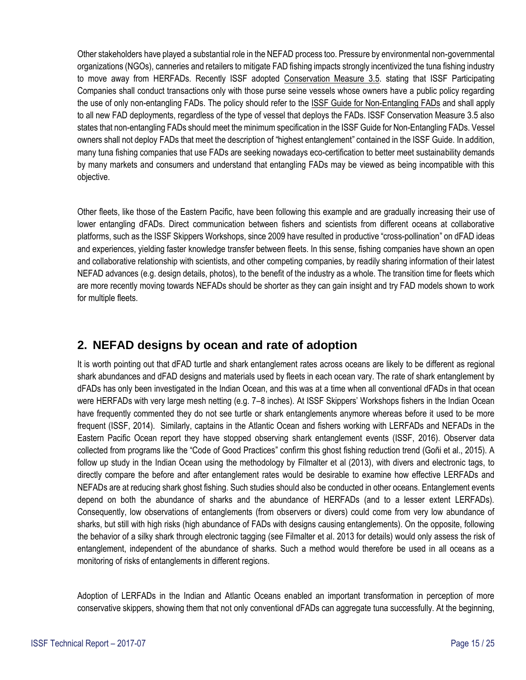<span id="page-14-0"></span>Other stakeholders have played a substantial role in the NEFAD process too. Pressure by environmental non-governmental organizations (NGOs), canneries and retailers to mitigate FAD fishing impacts strongly incentivized the tuna fishing industry to move away from HERFADs. Recently ISSF adopted [Conservation Measure 3.5.](https://iss-foundation.org/what-we-do/commitments-compliance/conservation-measures-commitments/bycatch-mitigation-3-5-transactions-with-vessels-that-use-only-non-entangling-fads/) stating that ISSF Participating Companies shall conduct transactions only with those purse seine vessels whose owners have a public policy regarding the use of only non-entangling FADs. The policy should refer to the [ISSF Guide for Non-Entangling FADs](https://iss-foundation.org/download-monitor-demo/download-info/issf-guide-for-non-entangling-fads/) and shall apply to all new FAD deployments, regardless of the type of vessel that deploys the FADs. ISSF Conservation Measure 3.5 also states that non-entangling FADs should meet the minimum specification in the ISSF Guide for Non-Entangling FADs. Vessel owners shall not deploy FADs that meet the description of "highest entanglement" contained in the ISSF Guide. In addition, many tuna fishing companies that use FADs are seeking nowadays eco-certification to better meet sustainability demands by many markets and consumers and understand that entangling FADs may be viewed as being incompatible with this objective.

Other fleets, like those of the Eastern Pacific, have been following this example and are gradually increasing their use of lower entangling dFADs. Direct communication between fishers and scientists from different oceans at collaborative platforms, such as the ISSF Skippers Workshops, since 2009 have resulted in productive "cross-pollination" on dFAD ideas and experiences, yielding faster knowledge transfer between fleets. In this sense, fishing companies have shown an open and collaborative relationship with scientists, and other competing companies, by readily sharing information of their latest NEFAD advances (e.g. design details, photos), to the benefit of the industry as a whole. The transition time for fleets which are more recently moving towards NEFADs should be shorter as they can gain insight and try FAD models shown to work for multiple fleets.

#### **2. NEFAD designs by ocean and rate of adoption**

It is worth pointing out that dFAD turtle and shark entanglement rates across oceans are likely to be different as regional shark abundances and dFAD designs and materials used by fleets in each ocean vary. The rate of shark entanglement by dFADs has only been investigated in the Indian Ocean, and this was at a time when all conventional dFADs in that ocean were HERFADs with very large mesh netting (e.g. 7–8 inches). At ISSF Skippers' Workshops fishers in the Indian Ocean have frequently commented they do not see turtle or shark entanglements anymore whereas before it used to be more frequent (ISSF, 2014). Similarly, captains in the Atlantic Ocean and fishers working with LERFADs and NEFADs in the Eastern Pacific Ocean report they have stopped observing shark entanglement events (ISSF, 2016). Observer data collected from programs like the "Code of Good Practices" confirm this ghost fishing reduction trend (Goñi et al., 2015). A follow up study in the Indian Ocean using the methodology by Filmalter et al (2013), with divers and electronic tags, to directly compare the before and after entanglement rates would be desirable to examine how effective LERFADs and NEFADs are at reducing shark ghost fishing. Such studies should also be conducted in other oceans. Entanglement events depend on both the abundance of sharks and the abundance of HERFADs (and to a lesser extent LERFADs). Consequently, low observations of entanglements (from observers or divers) could come from very low abundance of sharks, but still with high risks (high abundance of FADs with designs causing entanglements). On the opposite, following the behavior of a silky shark through electronic tagging (see Filmalter et al. 2013 for details) would only assess the risk of entanglement, independent of the abundance of sharks. Such a method would therefore be used in all oceans as a monitoring of risks of entanglements in different regions.

Adoption of LERFADs in the Indian and Atlantic Oceans enabled an important transformation in perception of more conservative skippers, showing them that not only conventional dFADs can aggregate tuna successfully. At the beginning,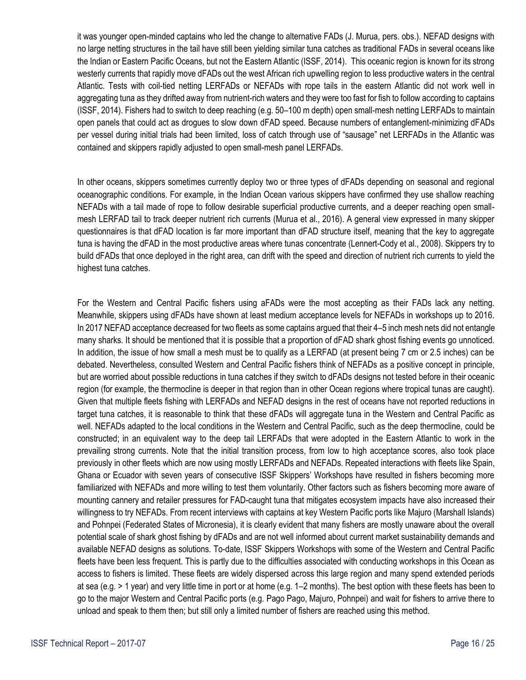it was younger open-minded captains who led the change to alternative FADs (J. Murua, pers. obs.). NEFAD designs with no large netting structures in the tail have still been yielding similar tuna catches as traditional FADs in several oceans like the Indian or Eastern Pacific Oceans, but not the Eastern Atlantic (ISSF, 2014). This oceanic region is known for its strong westerly currents that rapidly move dFADs out the west African rich upwelling region to less productive waters in the central Atlantic. Tests with coil-tied netting LERFADs or NEFADs with rope tails in the eastern Atlantic did not work well in aggregating tuna as they drifted away from nutrient-rich waters and they were too fast for fish to follow according to captains (ISSF, 2014). Fishers had to switch to deep reaching (e.g. 50–100 m depth) open small-mesh netting LERFADs to maintain open panels that could act as drogues to slow down dFAD speed. Because numbers of entanglement-minimizing dFADs per vessel during initial trials had been limited, loss of catch through use of "sausage" net LERFADs in the Atlantic was contained and skippers rapidly adjusted to open small-mesh panel LERFADs.

In other oceans, skippers sometimes currently deploy two or three types of dFADs depending on seasonal and regional oceanographic conditions. For example, in the Indian Ocean various skippers have confirmed they use shallow reaching NEFADs with a tail made of rope to follow desirable superficial productive currents, and a deeper reaching open smallmesh LERFAD tail to track deeper nutrient rich currents (Murua et al., 2016). A general view expressed in many skipper questionnaires is that dFAD location is far more important than dFAD structure itself, meaning that the key to aggregate tuna is having the dFAD in the most productive areas where tunas concentrate (Lennert-Cody et al., 2008). Skippers try to build dFADs that once deployed in the right area, can drift with the speed and direction of nutrient rich currents to yield the highest tuna catches.

For the Western and Central Pacific fishers using aFADs were the most accepting as their FADs lack any netting. Meanwhile, skippers using dFADs have shown at least medium acceptance levels for NEFADs in workshops up to 2016. In 2017 NEFAD acceptance decreased for two fleets as some captains argued that their 4–5 inch mesh nets did not entangle many sharks. It should be mentioned that it is possible that a proportion of dFAD shark ghost fishing events go unnoticed. In addition, the issue of how small a mesh must be to qualify as a LERFAD (at present being 7 cm or 2.5 inches) can be debated. Nevertheless, consulted Western and Central Pacific fishers think of NEFADs as a positive concept in principle, but are worried about possible reductions in tuna catches if they switch to dFADs designs not tested before in their oceanic region (for example, the thermocline is deeper in that region than in other Ocean regions where tropical tunas are caught). Given that multiple fleets fishing with LERFADs and NEFAD designs in the rest of oceans have not reported reductions in target tuna catches, it is reasonable to think that these dFADs will aggregate tuna in the Western and Central Pacific as well. NEFADs adapted to the local conditions in the Western and Central Pacific, such as the deep thermocline, could be constructed; in an equivalent way to the deep tail LERFADs that were adopted in the Eastern Atlantic to work in the prevailing strong currents. Note that the initial transition process, from low to high acceptance scores, also took place previously in other fleets which are now using mostly LERFADs and NEFADs. Repeated interactions with fleets like Spain, Ghana or Ecuador with seven years of consecutive ISSF Skippers' Workshops have resulted in fishers becoming more familiarized with NEFADs and more willing to test them voluntarily. Other factors such as fishers becoming more aware of mounting cannery and retailer pressures for FAD-caught tuna that mitigates ecosystem impacts have also increased their willingness to try NEFADs. From recent interviews with captains at key Western Pacific ports like Majuro (Marshall Islands) and Pohnpei (Federated States of Micronesia), it is clearly evident that many fishers are mostly unaware about the overall potential scale of shark ghost fishing by dFADs and are not well informed about current market sustainability demands and available NEFAD designs as solutions. To-date, ISSF Skippers Workshops with some of the Western and Central Pacific fleets have been less frequent. This is partly due to the difficulties associated with conducting workshops in this Ocean as access to fishers is limited. These fleets are widely dispersed across this large region and many spend extended periods at sea (e.g. > 1 year) and very little time in port or at home (e.g. 1–2 months). The best option with these fleets has been to go to the major Western and Central Pacific ports (e.g. Pago Pago, Majuro, Pohnpei) and wait for fishers to arrive there to unload and speak to them then; but still only a limited number of fishers are reached using this method.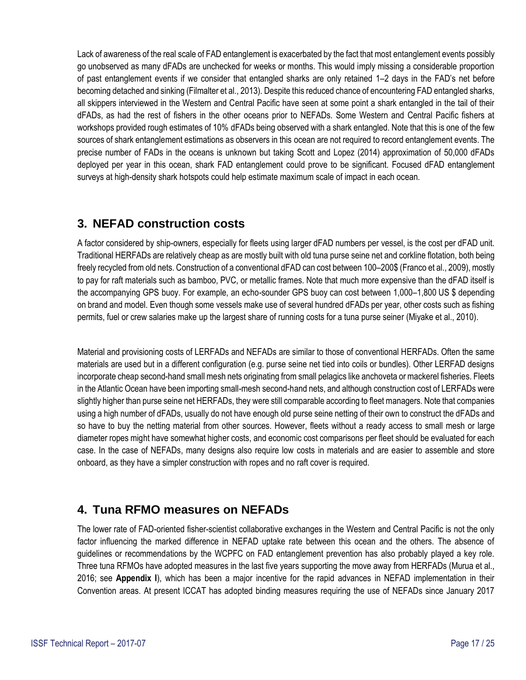<span id="page-16-0"></span>Lack of awareness of the real scale of FAD entanglement is exacerbated by the fact that most entanglement events possibly go unobserved as many dFADs are unchecked for weeks or months. This would imply missing a considerable proportion of past entanglement events if we consider that entangled sharks are only retained 1–2 days in the FAD's net before becoming detached and sinking (Filmalter et al., 2013). Despite this reduced chance of encountering FAD entangled sharks, all skippers interviewed in the Western and Central Pacific have seen at some point a shark entangled in the tail of their dFADs, as had the rest of fishers in the other oceans prior to NEFADs. Some Western and Central Pacific fishers at workshops provided rough estimates of 10% dFADs being observed with a shark entangled. Note that this is one of the few sources of shark entanglement estimations as observers in this ocean are not required to record entanglement events. The precise number of FADs in the oceans is unknown but taking Scott and Lopez (2014) approximation of 50,000 dFADs deployed per year in this ocean, shark FAD entanglement could prove to be significant. Focused dFAD entanglement surveys at high-density shark hotspots could help estimate maximum scale of impact in each ocean.

#### **3. NEFAD construction costs**

A factor considered by ship-owners, especially for fleets using larger dFAD numbers per vessel, is the cost per dFAD unit. Traditional HERFADs are relatively cheap as are mostly built with old tuna purse seine net and corkline flotation, both being freely recycled from old nets. Construction of a conventional dFAD can cost between 100–200\$ (Franco et al., 2009), mostly to pay for raft materials such as bamboo, PVC, or metallic frames. Note that much more expensive than the dFAD itself is the accompanying GPS buoy. For example, an echo-sounder GPS buoy can cost between 1,000–1,800 US \$ depending on brand and model. Even though some vessels make use of several hundred dFADs per year, other costs such as fishing permits, fuel or crew salaries make up the largest share of running costs for a tuna purse seiner (Miyake et al., 2010).

Material and provisioning costs of LERFADs and NEFADs are similar to those of conventional HERFADs. Often the same materials are used but in a different configuration (e.g. purse seine net tied into coils or bundles). Other LERFAD designs incorporate cheap second-hand small mesh nets originating from small pelagics like anchoveta or mackerel fisheries. Fleets in the Atlantic Ocean have been importing small-mesh second-hand nets, and although construction cost of LERFADs were slightly higher than purse seine net HERFADs, they were still comparable according to fleet managers. Note that companies using a high number of dFADs, usually do not have enough old purse seine netting of their own to construct the dFADs and so have to buy the netting material from other sources. However, fleets without a ready access to small mesh or large diameter ropes might have somewhat higher costs, and economic cost comparisons per fleet should be evaluated for each case. In the case of NEFADs, many designs also require low costs in materials and are easier to assemble and store onboard, as they have a simpler construction with ropes and no raft cover is required.

#### **4. Tuna RFMO measures on NEFADs**

The lower rate of FAD-oriented fisher-scientist collaborative exchanges in the Western and Central Pacific is not the only factor influencing the marked difference in NEFAD uptake rate between this ocean and the others. The absence of guidelines or recommendations by the WCPFC on FAD entanglement prevention has also probably played a key role. Three tuna RFMOs have adopted measures in the last five years supporting the move away from HERFADs (Murua et al., 2016; see **[Appendix I](#page-23-0)**), which has been a major incentive for the rapid advances in NEFAD implementation in their Convention areas. At present ICCAT has adopted binding measures requiring the use of NEFADs since January 2017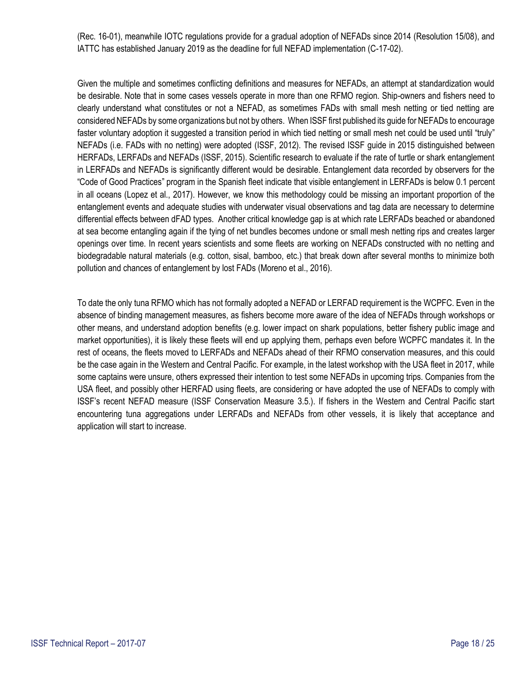(Rec. 16-01), meanwhile IOTC regulations provide for a gradual adoption of NEFADs since 2014 (Resolution 15/08), and IATTC has established January 2019 as the deadline for full NEFAD implementation (C-17-02).

Given the multiple and sometimes conflicting definitions and measures for NEFADs, an attempt at standardization would be desirable. Note that in some cases vessels operate in more than one RFMO region. Ship-owners and fishers need to clearly understand what constitutes or not a NEFAD, as sometimes FADs with small mesh netting or tied netting are considered NEFADs by some organizations but not by others. When ISSF first published its guide for NEFADs to encourage faster voluntary adoption it suggested a transition period in which tied netting or small mesh net could be used until "truly" NEFADs (i.e. FADs with no netting) were adopted (ISSF, 2012). The revised ISSF guide in 2015 distinguished between HERFADs, LERFADs and NEFADs (ISSF, 2015). Scientific research to evaluate if the rate of turtle or shark entanglement in LERFADs and NEFADs is significantly different would be desirable. Entanglement data recorded by observers for the "Code of Good Practices" program in the Spanish fleet indicate that visible entanglement in LERFADs is below 0.1 percent in all oceans (Lopez et al., 2017). However, we know this methodology could be missing an important proportion of the entanglement events and adequate studies with underwater visual observations and tag data are necessary to determine differential effects between dFAD types. Another critical knowledge gap is at which rate LERFADs beached or abandoned at sea become entangling again if the tying of net bundles becomes undone or small mesh netting rips and creates larger openings over time. In recent years scientists and some fleets are working on NEFADs constructed with no netting and biodegradable natural materials (e.g. cotton, sisal, bamboo, etc.) that break down after several months to minimize both pollution and chances of entanglement by lost FADs (Moreno et al., 2016).

To date the only tuna RFMO which has not formally adopted a NEFAD or LERFAD requirement is the WCPFC. Even in the absence of binding management measures, as fishers become more aware of the idea of NEFADs through workshops or other means, and understand adoption benefits (e.g. lower impact on shark populations, better fishery public image and market opportunities), it is likely these fleets will end up applying them, perhaps even before WCPFC mandates it. In the rest of oceans, the fleets moved to LERFADs and NEFADs ahead of their RFMO conservation measures, and this could be the case again in the Western and Central Pacific. For example, in the latest workshop with the USA fleet in 2017, while some captains were unsure, others expressed their intention to test some NEFADs in upcoming trips. Companies from the USA fleet, and possibly other HERFAD using fleets, are considering or have adopted the use of NEFADs to comply with ISSF's recent NEFAD measure (ISSF Conservation Measure 3.5.). If fishers in the Western and Central Pacific start encountering tuna aggregations under LERFADs and NEFADs from other vessels, it is likely that acceptance and application will start to increase.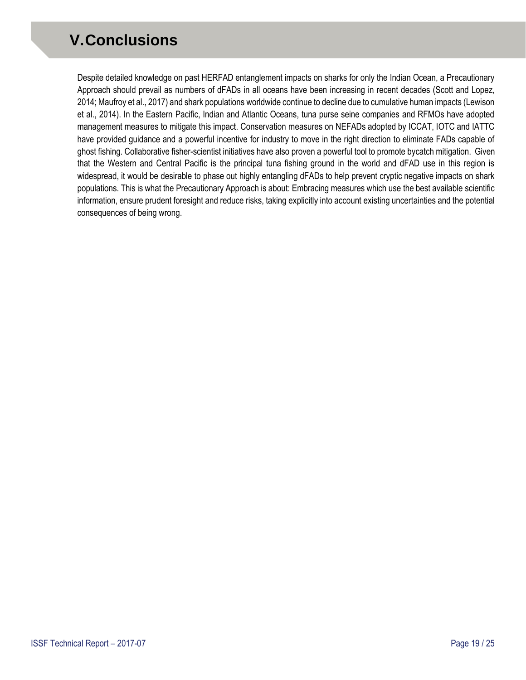## <span id="page-18-0"></span>**V.Conclusions**

Despite detailed knowledge on past HERFAD entanglement impacts on sharks for only the Indian Ocean, a Precautionary Approach should prevail as numbers of dFADs in all oceans have been increasing in recent decades (Scott and Lopez, 2014; Maufroy et al., 2017) and shark populations worldwide continue to decline due to cumulative human impacts (Lewison et al., 2014). In the Eastern Pacific, Indian and Atlantic Oceans, tuna purse seine companies and RFMOs have adopted management measures to mitigate this impact. Conservation measures on NEFADs adopted by ICCAT, IOTC and IATTC have provided guidance and a powerful incentive for industry to move in the right direction to eliminate FADs capable of ghost fishing. Collaborative fisher-scientist initiatives have also proven a powerful tool to promote bycatch mitigation. Given that the Western and Central Pacific is the principal tuna fishing ground in the world and dFAD use in this region is widespread, it would be desirable to phase out highly entangling dFADs to help prevent cryptic negative impacts on shark populations. This is what the Precautionary Approach is about: Embracing measures which use the best available scientific information, ensure prudent foresight and reduce risks, taking explicitly into account existing uncertainties and the potential consequences of being wrong.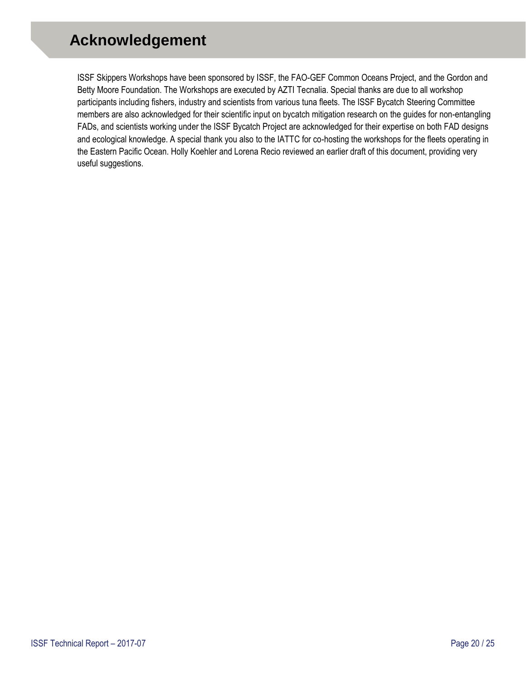## <span id="page-19-0"></span>**Acknowledgement**

ISSF Skippers Workshops have been sponsored by ISSF, the FAO-GEF Common Oceans Project, and the Gordon and Betty Moore Foundation. The Workshops are executed by AZTI Tecnalia. Special thanks are due to all workshop participants including fishers, industry and scientists from various tuna fleets. The ISSF Bycatch Steering Committee members are also acknowledged for their scientific input on bycatch mitigation research on the guides for non-entangling FADs, and scientists working under the ISSF Bycatch Project are acknowledged for their expertise on both FAD designs and ecological knowledge. A special thank you also to the IATTC for co-hosting the workshops for the fleets operating in the Eastern Pacific Ocean. Holly Koehler and Lorena Recio reviewed an earlier draft of this document, providing very useful suggestions.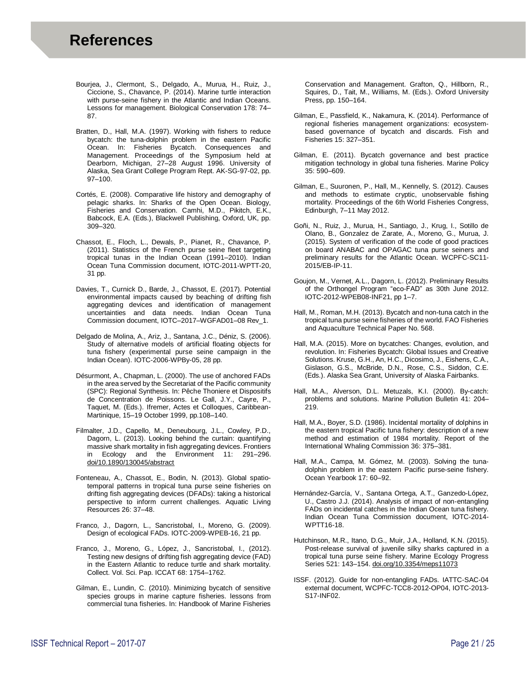- Bourjea, J., Clermont, S., Delgado, A., Murua, H., Ruiz, J., Ciccione, S., Chavance, P. (2014). Marine turtle interaction with purse-seine fishery in the Atlantic and Indian Oceans. Lessons for management. Biological Conservation 178: 74– 87.
- Bratten, D., Hall, M.A. (1997). Working with fishers to reduce bycatch: the tuna-dolphin problem in the eastern Pacific Ocean. In: Fisheries Bycatch. Consequences and Management. Proceedings of the Symposium held at Dearborn, Michigan, 27–28 August 1996. University of Alaska, Sea Grant College Program Rept. AK-SG-97-02, pp. 97–100.
- Cortés, E. (2008). Comparative life history and demography of pelagic sharks. In: Sharks of the Open Ocean. Biology, Fisheries and Conservation. Camhi, M.D., Pikitch, E.K., Babcock, E.A. (Eds.), Blackwell Publishing, Oxford, UK, pp. 309–320.
- Chassot, E., Floch, L., Dewals, P., Pianet, R., Chavance, P. (2011). Statistics of the French purse seine fleet targeting tropical tunas in the Indian Ocean (1991–2010). Indian Ocean Tuna Commission document, IOTC-2011-WPTT-20, 31 pp.
- Davies, T., Curnick D., Barde, J., Chassot, E. (2017). Potential environmental impacts caused by beaching of drifting fish aggregating devices and identification of management uncertainties and data needs. Indian Ocean Tuna Commission document, IOTC–2017–WGFAD01–08 Rev\_1.
- Delgado de Molina, A., Ariz, J., Santana, J.C., Déniz, S. (2006). Study of alternative models of artificial floating objects for tuna fishery (experimental purse seine campaign in the Indian Ocean). IOTC-2006-WPBy-05, 28 pp.
- Désurmont, A., Chapman, L. (2000). The use of anchored FADs in the area served by the Secretariat of the Pacific community (SPC): Regional Synthesis. In: Pêche Thoniere et Dispositifs de Concentration de Poissons. Le Gall, J.Y., Cayre, P., Taquet, M. (Eds.). Ifremer, Actes et Colloques, Caribbean-Martinique, 15–19 October 1999, pp.108–140.
- Filmalter, J.D., Capello, M., Deneubourg, J.L., Cowley, P.D., Dagorn, L. (2013). Looking behind the curtain: quantifying massive shark mortality in fish aggregating devices. Frontiers in Ecology and the Environment 11: 291–296. doi/10.1890/130045/abstract
- Fonteneau, A., Chassot, E., Bodin, N. (2013). Global spatiotemporal patterns in tropical tuna purse seine fisheries on drifting fish aggregating devices (DFADs): taking a historical perspective to inform current challenges. Aquatic Living Resources 26: 37–48.
- Franco, J., Dagorn, L., Sancristobal, I., Moreno, G. (2009). Design of ecological FADs. IOTC-2009-WPEB-16, 21 pp.
- Franco, J., Moreno, G., López, J., Sancristobal, I., (2012). Testing new designs of drifting fish aggregating device (FAD) in the Eastern Atlantic to reduce turtle and shark mortality. Collect. Vol. Sci. Pap. ICCAT 68: 1754–1762.
- Gilman, E., Lundin, C. (2010). Minimizing bycatch of sensitive species groups in marine capture fisheries. lessons from commercial tuna fisheries. In: Handbook of Marine Fisheries

Conservation and Management. Grafton, Q., Hillborn, R., Squires, D., Tait, M., Williams, M. (Eds.). Oxford University Press, pp. 150–164.

- Gilman, E., Passfield, K., Nakamura, K. (2014). Performance of regional fisheries management organizations: ecosystembased governance of bycatch and discards. Fish and Fisheries 15: 327–351.
- Gilman, E. (2011). Bycatch governance and best practice mitigation technology in global tuna fisheries. Marine Policy 35: 590–609.
- Gilman, E., Suuronen, P., Hall, M., Kennelly, S. (2012). Causes and methods to estimate cryptic, unobservable fishing mortality. Proceedings of the 6th World Fisheries Congress, Edinburgh, 7–11 May 2012.
- Goñi, N., Ruiz, J., Murua, H., Santiago, J., Krug, I., Sotillo de Olano, B., Gonzalez de Zarate, A., Moreno, G., Murua, J. (2015). System of verification of the code of good practices on board ANABAC and OPAGAC tuna purse seiners and preliminary results for the Atlantic Ocean. WCPFC-SC11- 2015/EB-IP-11.
- Goujon, M., Vernet, A.L., Dagorn, L. (2012). Preliminary Results of the Orthongel Program "eco-FAD" as 30th June 2012. IOTC-2012-WPEB08-INF21, pp 1–7.
- Hall, M., Roman, M.H. (2013). Bycatch and non-tuna catch in the tropical tuna purse seine fisheries of the world. FAO Fisheries and Aquaculture Technical Paper No. 568.
- Hall, M.A. (2015). More on bycatches: Changes, evolution, and revolution. In: Fisheries Bycatch: Global Issues and Creative Solutions. Kruse, G.H., An, H.C., Dicosimo, J., Eishens, C.A., Gislason, G.S., McBride, D.N., Rose, C.S., Siddon, C.E. (Eds.). Alaska Sea Grant, University of Alaska Fairbanks.
- Hall, M.A., Alverson, D.L. Metuzals, K.I. (2000). By-catch: problems and solutions. Marine Pollution Bulletin 41: 204– 219.
- Hall, M.A., Boyer, S.D. (1986). Incidental mortality of dolphins in the eastern tropical Pacific tuna fishery: description of a new method and estimation of 1984 mortality. Report of the International Whaling Commission 36: 375–381.
- Hall, M.A., Campa, M. Gómez, M. (2003). Solving the tunadolphin problem in the eastern Pacific purse-seine fishery. Ocean Yearbook 17: 60–92.
- Hernández-García, V., Santana Ortega, A.T., Ganzedo-López, U., Castro J.J. (2014). Analysis of impact of non-entangling FADs on incidental catches in the Indian Ocean tuna fishery. Indian Ocean Tuna Commission document, IOTC-2014- WPTT16-18.
- Hutchinson, M.R., Itano, D.G., Muir, J.A., Holland, K.N. (2015). Post-release survival of juvenile silky sharks captured in a tropical tuna purse seine fishery. Marine Ecology Progress Series 521: 143–154. doi.org/10.3354/meps11073
- ISSF. (2012). Guide for non-entangling FADs. IATTC-SAC-04 external document, WCPFC-TCC8-2012-OP04, IOTC-2013- S17-INF02.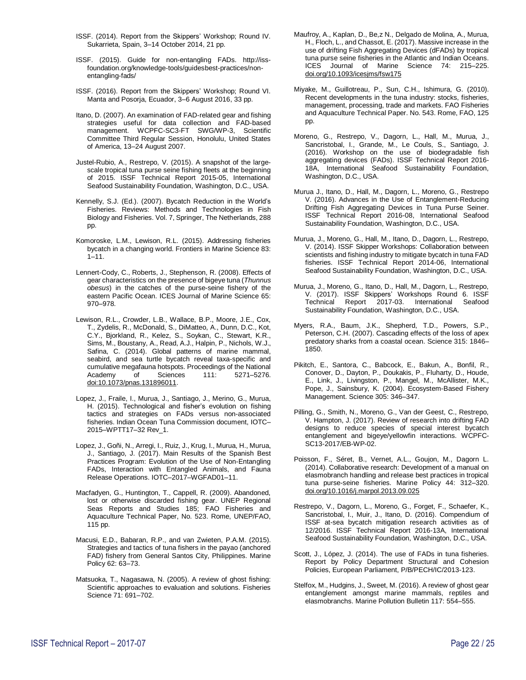- ISSF. (2014). Report from the Skippers' Workshop; Round IV. Sukarrieta, Spain, 3–14 October 2014, 21 pp.
- ISSF. (2015). Guide for non-entangling FADs. http://issfoundation.org/knowledge-tools/guidesbest-practices/nonentangling-fads/
- ISSF. (2016). Report from the Skippers' Workshop; Round VI. Manta and Posorja, Ecuador, 3–6 August 2016, 33 pp.
- Itano, D. (2007). An examination of FAD-related gear and fishing strategies useful for data collection and FAD-based management. WCPFC-SC3-FT SWG/WP-3, Scientific Committee Third Regular Session, Honolulu, United States of America, 13–24 August 2007.
- Justel-Rubio, A., Restrepo, V. (2015). A snapshot of the largescale tropical tuna purse seine fishing fleets at the beginning of 2015. ISSF Technical Report 2015-05, International Seafood Sustainability Foundation, Washington, D.C., USA.
- Kennelly, S.J. (Ed.). (2007). Bycatch Reduction in the World's Fisheries. Reviews: Methods and Technologies in Fish Biology and Fisheries. Vol. 7, Springer, The Netherlands, 288 pp.
- Komoroske, L.M., Lewison, R.L. (2015). Addressing fisheries bycatch in a changing world. Frontiers in Marine Science 83:  $1 - 11$ .
- Lennert-Cody, C., Roberts, J., Stephenson, R. (2008). Effects of gear characteristics on the presence of bigeye tuna (*Thunnus obesus*) in the catches of the purse-seine fishery of the eastern Pacific Ocean. ICES Journal of Marine Science 65: 970–978.
- Lewison, R.L., Crowder, L.B., Wallace, B.P., Moore, J.E., Cox, T., Zydelis, R., McDonald, S., DiMatteo, A., Dunn, D.C., Kot, C.Y., Bjorkland, R., Kelez, S., Soykan, C., Stewart, K.R., Sims, M., Boustany, A., Read, A.J., Halpin, P., Nichols, W.J., Safina, C. (2014). Global patterns of marine mammal, seabird, and sea turtle bycatch reveal taxa-specific and cumulative megafauna hotspots. Proceedings of the National<br>Academy of Sciences 111: 5271–5276. Academy of Sciences 111: 5271–5276. doi:10.1073/pnas.131896011.
- Lopez, J., Fraile, I., Murua, J., Santiago, J., Merino, G., Murua, H. (2015). Technological and fisher's evolution on fishing tactics and strategies on FADs versus non-associated fisheries. Indian Ocean Tuna Commission document, IOTC– 2015–WPTT17–32 Rev\_1.
- Lopez, J., Goñi, N., Arregi, I., Ruiz, J., Krug, I., Murua, H., Murua, J., Santiago, J. (2017). Main Results of the Spanish Best Practices Program: Evolution of the Use of Non-Entangling FADs, Interaction with Entangled Animals, and Fauna Release Operations. IOTC–2017–WGFAD01–11.
- Macfadyen, G., Huntington, T., Cappell, R. (2009). Abandoned, lost or otherwise discarded fishing gear. UNEP Regional Seas Reports and Studies 185; FAO Fisheries and Aquaculture Technical Paper, No. 523. Rome, UNEP/FAO, 115 pp.
- Macusi, E.D., Babaran, R.P., and van Zwieten, P.A.M. (2015). Strategies and tactics of tuna fishers in the payao (anchored FAD) fishery from General Santos City, Philippines. Marine Policy 62: 63–73.
- Matsuoka, T., Nagasawa, N. (2005). A review of ghost fishing: Scientific approaches to evaluation and solutions. Fisheries Science 71: 691–702.
- Maufroy, A., Kaplan, D., Be,z N., Delgado de Molina, A., Murua, H., Floch, L., and Chassot, E. (2017). Massive increase in the use of drifting Fish Aggregating Devices (dFADs) by tropical tuna purse seine fisheries in the Atlantic and Indian Oceans. ICES Journal of Marine Science 74: 215–225. doi.org/10.1093/icesjms/fsw175
- Miyake, M., Guillotreau, P., Sun, C.H., Ishimura, G. (2010). Recent developments in the tuna industry: stocks, fisheries, management, processing, trade and markets. FAO Fisheries and Aquaculture Technical Paper. No. 543. Rome, FAO, 125 pp.
- Moreno, G., Restrepo, V., Dagorn, L., Hall, M., Murua, J., Sancristobal, I., Grande, M., Le Couls, S., Santiago, J. (2016). Workshop on the use of biodegradable fish aggregating devices (FADs). ISSF Technical Report 2016- 18A, International Seafood Sustainability Foundation, Washington, D.C., USA.
- Murua J., Itano, D., Hall, M., Dagorn, L., Moreno, G., Restrepo V. (2016). Advances in the Use of Entanglement-Reducing Drifting Fish Aggregating Devices in Tuna Purse Seiner. ISSF Technical Report 2016-08, International Seafood Sustainability Foundation, Washington, D.C., USA.
- Murua, J., Moreno, G., Hall, M., Itano, D., Dagorn, L., Restrepo, V. (2014). ISSF Skipper Workshops: Collaboration between scientists and fishing industry to mitigate bycatch in tuna FAD fisheries. ISSF Technical Report 2014-06, International Seafood Sustainability Foundation, Washington, D.C., USA.
- Murua, J., Moreno, G., Itano, D., Hall, M., Dagorn, L., Restrepo, V. (2017). ISSF Skippers' Workshops Round 6. ISSF Technical Report 2017-03. International Seafood Sustainability Foundation, Washington, D.C., USA.
- Myers, R.A., Baum, J.K., Shepherd, T.D., Powers, S.P., Peterson, C.H. (2007). Cascading effects of the loss of apex predatory sharks from a coastal ocean. Science 315: 1846– 1850.
- Pikitch, E., Santora, C., Babcock, E., Bakun, A., Bonfil, R., Conover, D., Dayton, P., Doukakis, P., Fluharty, D., Houde, E., Link, J., Livingston, P., Mangel, M., McAllister, M.K., Pope, J., Sainsbury, K. (2004). Ecosystem-Based Fishery Management. Science 305: 346–347.
- Pilling, G., Smith, N., Moreno, G., Van der Geest, C., Restrepo, V. Hampton, J. (2017). Review of research into drifting FAD designs to reduce species of special interest bycatch entanglement and bigeye/yellowfin interactions. WCPFC-SC13-2017/EB-WP-02.
- Poisson, F., Séret, B., Vernet, A.L., Goujon, M., Dagorn L. (2014). Collaborative research: Development of a manual on elasmobranch handling and release best practices in tropical tuna purse-seine fisheries. Marine Policy 44: 312–320. [doi.org/10.1016/j.marpol.2013.09.025](https://www.sciencedirect.com/science/article/pii/S0308597X13002224?via%3Dihub)
- Restrepo, V., Dagorn, L., Moreno, G., Forget, F., Schaefer, K., Sancristobal, I., Muir, J., Itano, D. (2016). Compendium of ISSF at-sea bycatch mitigation research activities as of 12/2016. ISSF Technical Report 2016-13A, International Seafood Sustainability Foundation, Washington, D.C., USA.
- Scott, J., López, J. (2014). The use of FADs in tuna fisheries. Report by Policy Department Structural and Cohesion Policies, European Parliament, P/B/PECH/IC/2013-123.
- Stelfox, M., Hudgins, J., Sweet, M. (2016). A review of ghost gear entanglement amongst marine mammals, reptiles and elasmobranchs. Marine Pollution Bulletin 117: 554–555.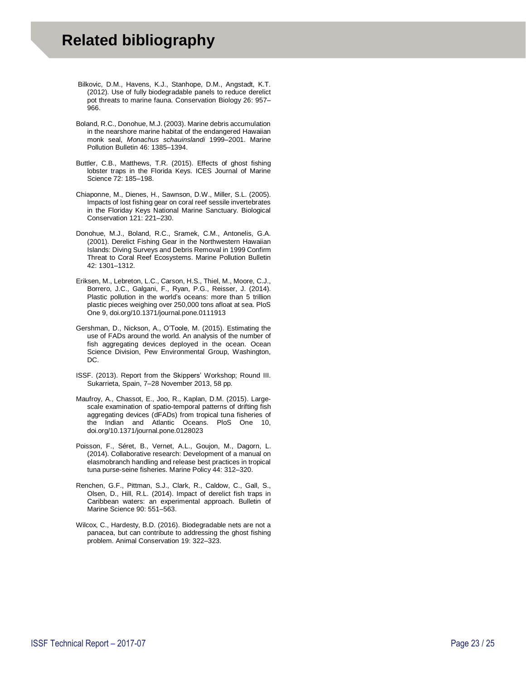- <span id="page-22-0"></span>Bilkovic, D.M., Havens, K.J., Stanhope, D.M., Angstadt, K.T. (2012). Use of fully biodegradable panels to reduce derelict pot threats to marine fauna. Conservation Biology 26: 957– 966.
- Boland, R.C., Donohue, M.J. (2003). Marine debris accumulation in the nearshore marine habitat of the endangered Hawaiian monk seal, *Monachus schauinslandi* 1999–2001. Marine Pollution Bulletin 46: 1385–1394.
- Buttler, C.B., Matthews, T.R. (2015). Effects of ghost fishing lobster traps in the Florida Keys. ICES Journal of Marine Science 72: 185–198.
- Chiaponne, M., Dienes, H., Sawnson, D.W., Miller, S.L. (2005). Impacts of lost fishing gear on coral reef sessile invertebrates in the Floriday Keys National Marine Sanctuary. Biological Conservation 121: 221–230.
- Donohue, M.J., Boland, R.C., Sramek, C.M., Antonelis, G.A. (2001). Derelict Fishing Gear in the Northwestern Hawaiian Islands: Diving Surveys and Debris Removal in 1999 Confirm Threat to Coral Reef Ecosystems. Marine Pollution Bulletin 42: 1301–1312.
- Eriksen, M., Lebreton, L.C., Carson, H.S., Thiel, M., Moore, C.J., Borrero, J.C., Galgani, F., Ryan, P.G., Reisser, J. (2014). Plastic pollution in the world's oceans: more than 5 trillion plastic pieces weighing over 250,000 tons afloat at sea. PloS One 9, doi.org/10.1371/journal.pone.0111913
- Gershman, D., Nickson, A., O'Toole, M. (2015). Estimating the use of FADs around the world. An analysis of the number of fish aggregating devices deployed in the ocean. Ocean Science Division, Pew Environmental Group, Washington, DC.
- ISSF. (2013). Report from the Skippers' Workshop; Round III. Sukarrieta, Spain, 7–28 November 2013, 58 pp.
- Maufroy, A., Chassot, E., Joo, R., Kaplan, D.M. (2015). Largescale examination of spatio-temporal patterns of drifting fish aggregating devices (dFADs) from tropical tuna fisheries of the Indian and Atlantic Oceans. PloS One 10, doi.org/10.1371/journal.pone.0128023
- Poisson, F., Séret, B., Vernet, A.L., Goujon, M., Dagorn, L. (2014). Collaborative research: Development of a manual on elasmobranch handling and release best practices in tropical tuna purse-seine fisheries. Marine Policy 44: 312–320.
- Renchen, G.F., Pittman, S.J., Clark, R., Caldow, C., Gall, S., Olsen, D., Hill, R.L. (2014). Impact of derelict fish traps in Caribbean waters: an experimental approach. Bulletin of Marine Science 90: 551–563.
- Wilcox, C., Hardesty, B.D. (2016). Biodegradable nets are not a panacea, but can contribute to addressing the ghost fishing problem. Animal Conservation 19: 322–323.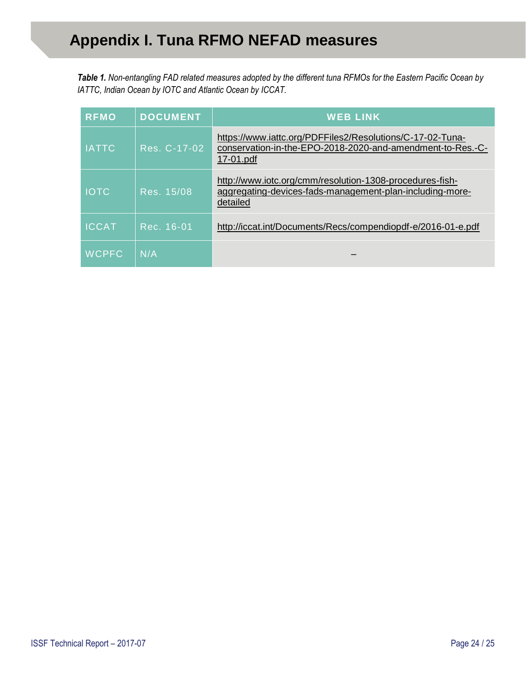<span id="page-23-0"></span>*Table 1. Non-entangling FAD related measures adopted by the different tuna RFMOs for the Eastern Pacific Ocean by IATTC, Indian Ocean by IOTC and Atlantic Ocean by ICCAT.*

| <b>RFMO</b>  | <b>DOCUMENT</b> | <b>WEB LINK</b>                                                                                                                      |
|--------------|-----------------|--------------------------------------------------------------------------------------------------------------------------------------|
| <b>IATTC</b> | Res. C-17-02    | https://www.iattc.org/PDFFiles2/Resolutions/C-17-02-Tuna-<br>conservation-in-the-EPO-2018-2020-and-amendment-to-Res.-C-<br>17-01.pdf |
| <b>IOTC</b>  | Res. 15/08      | http://www.iotc.org/cmm/resolution-1308-procedures-fish-<br>aggregating-devices-fads-management-plan-including-more-<br>detailed     |
| <b>ICCAT</b> | Rec. 16-01      | http://iccat.int/Documents/Recs/compendiopdf-e/2016-01-e.pdf                                                                         |
| <b>WCPFC</b> | N/A             |                                                                                                                                      |